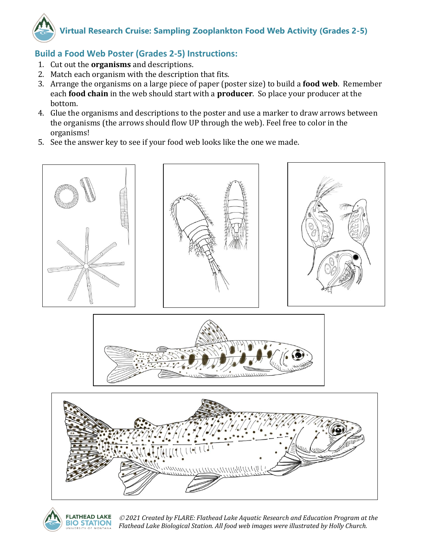# **Virtual Research Cruise: Sampling Zooplankton Food Web Activity (Grades 2-5)**

## **Build a Food Web Poster (Grades 2-5) Instructions:**

- 1. Cut out the **organisms** and descriptions.
- 2. Match each organism with the description that fits.
- 3. Arrange the organisms on a large piece of paper (poster size) to build a **food web**. Remember each **food chain** in the web should start with a **producer**. So place your producer at the bottom.
- 4. Glue the organisms and descriptions to the poster and use a marker to draw arrows between the organisms (the arrows should flow UP through the web). Feel free to color in the organisms!
- 5. See the answer key to see if your food web looks like the one we made.









 *2021 Created by FLARE: Flathead Lake Aquatic Research and Education Program at the Flathead Lake Biological Station. All food web images were illustrated by Holly Church.*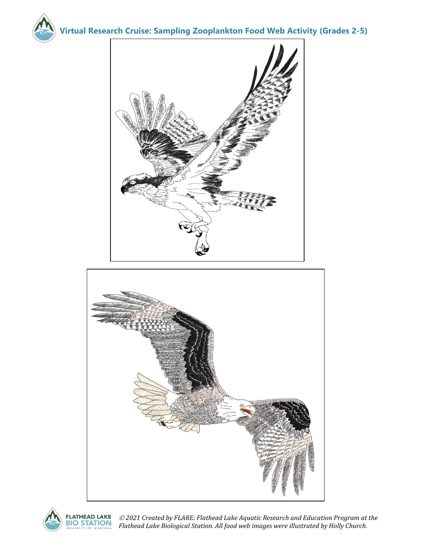

#### **Virtual Research Cruise: Sampling Zooplankton Food Web Activity (Grades 2-5)**







 *2021 Created by FLARE: Flathead Lake Aquatic Research and Education Program at the Flathead Lake Biological Station. All food web images were illustrated by Holly Church.*